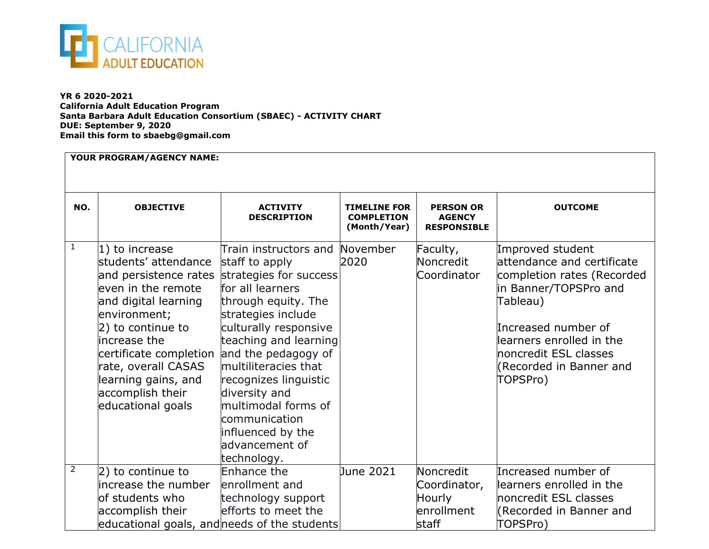

**YR 6 2020-2021 California Adult Education Program Santa Barbara Adult Education Consortium (SBAEC) - ACTIVITY CHART DUE: September 9, 2020 Email this form to sbaebg@gmail.com**

| YOUR PROGRAM/AGENCY NAME: |                                                                                                                                                                                                                                                             |                                                                                                                                                                                                                                                                                                                                                                                                   |                                                          |                                                            |                                                                                                                                                                                                                                       |
|---------------------------|-------------------------------------------------------------------------------------------------------------------------------------------------------------------------------------------------------------------------------------------------------------|---------------------------------------------------------------------------------------------------------------------------------------------------------------------------------------------------------------------------------------------------------------------------------------------------------------------------------------------------------------------------------------------------|----------------------------------------------------------|------------------------------------------------------------|---------------------------------------------------------------------------------------------------------------------------------------------------------------------------------------------------------------------------------------|
| NO.                       | <b>OBJECTIVE</b>                                                                                                                                                                                                                                            | <b>ACTIVITY</b><br><b>DESCRIPTION</b>                                                                                                                                                                                                                                                                                                                                                             | <b>TIMELINE FOR</b><br><b>COMPLETION</b><br>(Month/Year) | <b>PERSON OR</b><br><b>AGENCY</b><br><b>RESPONSIBLE</b>    | <b>OUTCOME</b>                                                                                                                                                                                                                        |
| $\mathbf{1}$              | 1) to increase<br>students' attendance<br>even in the remote<br>and digital learning<br>environment;<br>2) to continue to<br>lincrease the<br>certificate completion<br>rate, overall CASAS<br>learning gains, and<br>accomplish their<br>educational goals | Train instructors and<br>staff to apply<br>and persistence rates strategies for success<br>for all learners<br>through equity. The<br>strategies include<br>culturally responsive<br>teaching and learning<br>and the pedagogy of<br>multiliteracies that<br>recognizes linguistic<br>diversity and<br>multimodal forms of<br>communication<br>influenced by the<br>advancement of<br>technology. | November<br>2020                                         | Faculty,<br>Noncredit<br>Coordinator                       | Improved student<br>lattendance and certificate<br>completion rates (Recorded<br>in Banner/TOPSPro and<br>Tableau)<br>Increased number of<br>learners enrolled in the<br>noncredit ESL classes<br>(Recorded in Banner and<br>TOPSPro) |
| $\overline{2}$            | 2) to continue to<br>increase the number<br>of students who<br>accomplish their                                                                                                                                                                             | Enhance the<br>enrollment and<br>technology support<br>efforts to meet the<br>educational goals, and needs of the students                                                                                                                                                                                                                                                                        | June 2021                                                | Noncredit<br>Coordinator,<br>Hourly<br>enrollment<br>staff | Increased number of<br>learners enrolled in the<br>noncredit ESL classes<br>(Recorded in Banner and<br>TOPSPro)                                                                                                                       |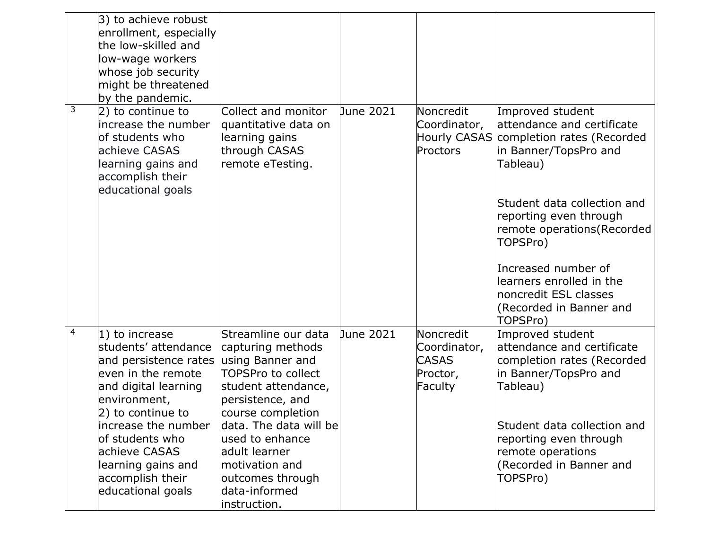|   | 3) to achieve robust<br>enrollment, especially<br>the low-skilled and<br>low-wage workers<br>whose job security<br>might be threatened<br>by the pandemic. |                                                                                                    |           |                                                              |                                                                                                                   |
|---|------------------------------------------------------------------------------------------------------------------------------------------------------------|----------------------------------------------------------------------------------------------------|-----------|--------------------------------------------------------------|-------------------------------------------------------------------------------------------------------------------|
| 3 | 2) to continue to<br>increase the number<br>of students who<br>achieve CASAS<br>learning gains and<br>accomplish their<br>educational goals                | Collect and monitor<br>quantitative data on<br>learning gains<br>through CASAS<br>remote eTesting. | June 2021 | Noncredit<br>Coordinator,<br><b>Hourly CASAS</b><br>Proctors | Improved student<br>attendance and certificate<br>completion rates (Recorded<br>in Banner/TopsPro and<br>Tableau) |
|   |                                                                                                                                                            |                                                                                                    |           |                                                              | Student data collection and<br>reporting even through<br>remote operations (Recorded<br>TOPSPro)                  |
|   |                                                                                                                                                            |                                                                                                    |           |                                                              | Increased number of<br>learners enrolled in the<br>noncredit ESL classes<br>(Recorded in Banner and<br>TOPSPro)   |
| 4 | 1) to increase<br>students' attendance                                                                                                                     | Streamline our data<br>capturing methods                                                           | June 2021 | Noncredit<br>Coordinator,                                    | Improved student<br>attendance and certificate                                                                    |
|   | and persistence rates                                                                                                                                      | using Banner and                                                                                   |           | <b>CASAS</b>                                                 | completion rates (Recorded                                                                                        |
|   | leven in the remote                                                                                                                                        | TOPSPro to collect                                                                                 |           | Proctor,                                                     | in Banner/TopsPro and<br>Tableau)                                                                                 |
|   | and digital learning<br>environment,                                                                                                                       | student attendance,<br>persistence, and                                                            |           | Faculty                                                      |                                                                                                                   |
|   | 2) to continue to                                                                                                                                          | course completion                                                                                  |           |                                                              |                                                                                                                   |
|   | increase the number                                                                                                                                        | data. The data will be                                                                             |           |                                                              | Student data collection and                                                                                       |
|   | of students who<br>achieve CASAS                                                                                                                           | used to enhance<br>ladult learner                                                                  |           |                                                              | reporting even through<br>remote operations                                                                       |
|   | learning gains and                                                                                                                                         | motivation and                                                                                     |           |                                                              | (Recorded in Banner and                                                                                           |
|   | accomplish their                                                                                                                                           | outcomes through                                                                                   |           |                                                              | TOPSPro)                                                                                                          |
|   | educational goals                                                                                                                                          | ldata-informed<br>instruction.                                                                     |           |                                                              |                                                                                                                   |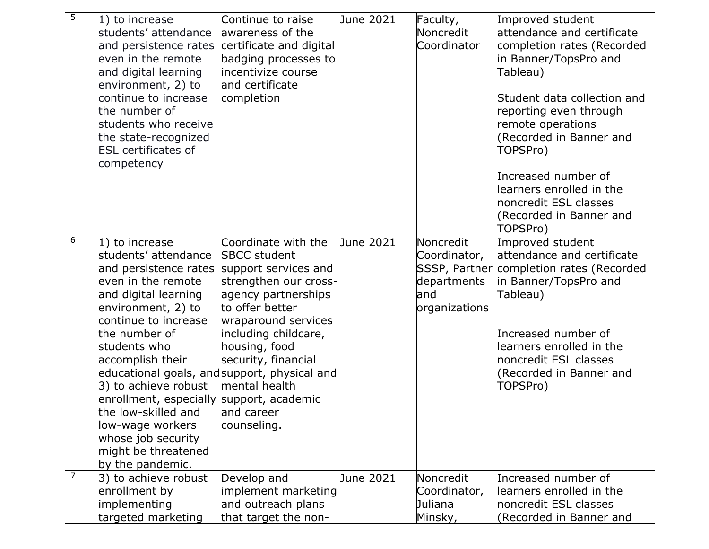| $\overline{5}$ | $ 1)$ to increase<br>students' attendance<br>and persistence rates<br>even in the remote<br>and digital learning<br>environment, 2) to<br>continue to increase<br>the number of<br>students who receive<br>the state-recognized<br><b>ESL</b> certificates of<br>competency                                                                                                                         | Continue to raise<br>awareness of the<br>certificate and digital<br>badging processes to<br>incentivize course<br>and certificate<br>completion                                                                                                                                                                             | June 2021        | Faculty,<br>Noncredit<br>Coordinator                              | Improved student<br>attendance and certificate<br>completion rates (Recorded<br>in Banner/TopsPro and<br>Tableau)<br>Student data collection and<br>reporting even through<br>remote operations<br>(Recorded in Banner and<br>TOPSPro)<br>Increased number of<br>learners enrolled in the<br>noncredit ESL classes<br>(Recorded in Banner and<br>TOPSPro) |
|----------------|-----------------------------------------------------------------------------------------------------------------------------------------------------------------------------------------------------------------------------------------------------------------------------------------------------------------------------------------------------------------------------------------------------|-----------------------------------------------------------------------------------------------------------------------------------------------------------------------------------------------------------------------------------------------------------------------------------------------------------------------------|------------------|-------------------------------------------------------------------|-----------------------------------------------------------------------------------------------------------------------------------------------------------------------------------------------------------------------------------------------------------------------------------------------------------------------------------------------------------|
| 6              | $ 1)$ to increase<br>students' attendance<br>and persistence rates<br>even in the remote<br>and digital learning<br>environment, 2) to<br>continue to increase<br>the number of<br>students who<br>accomplish their<br>3) to achieve robust<br>enrollment, especially support, academic<br>the low-skilled and<br>low-wage workers<br>whose job security<br>might be threatened<br>by the pandemic. | Coordinate with the<br><b>SBCC</b> student<br>support services and<br>strengthen our cross-<br>agency partnerships<br>to offer better<br>wraparound services<br>including childcare,<br>housing, food<br>security, financial<br>educational goals, and support, physical and<br>mental health<br>land career<br>counseling. | <b>June 2021</b> | Noncredit<br>Coordinator,<br>departments<br>land<br>organizations | Improved student<br>attendance and certificate<br>SSSP, Partner completion rates (Recorded<br>in Banner/TopsPro and<br>Tableau)<br>Increased number of<br>learners enrolled in the<br>noncredit ESL classes<br>(Recorded in Banner and<br>TOPSPro)                                                                                                        |
| $\overline{7}$ | 3) to achieve robust<br>enrollment by<br>implementing<br>targeted marketing                                                                                                                                                                                                                                                                                                                         | Develop and<br>implement marketing<br>and outreach plans<br>that target the non-                                                                                                                                                                                                                                            | June 2021        | Noncredit<br>Coordinator,<br>Juliana<br>Minsky,                   | Increased number of<br>learners enrolled in the<br>noncredit ESL classes<br>(Recorded in Banner and                                                                                                                                                                                                                                                       |